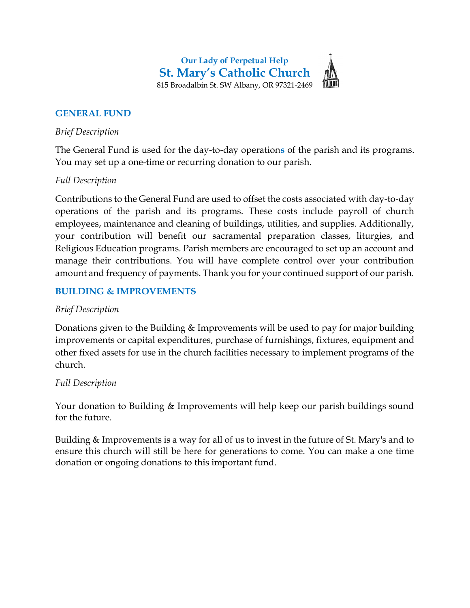Our Lady of Perpetual Help St. Mary's Catholic Church 815 Broadalbin St. SW Albany, OR 97321-2469

## GENERAL FUND

### Brief Description

The General Fund is used for the day-to-day operations of the parish and its programs. You may set up a one-time or recurring donation to our parish.

### Full Description

Contributions to the General Fund are used to offset the costs associated with day-to-day operations of the parish and its programs. These costs include payroll of church employees, maintenance and cleaning of buildings, utilities, and supplies. Additionally, your contribution will benefit our sacramental preparation classes, liturgies, and Religious Education programs. Parish members are encouraged to set up an account and manage their contributions. You will have complete control over your contribution amount and frequency of payments. Thank you for your continued support of our parish.

# BUILDING & IMPROVEMENTS

## Brief Description

Donations given to the Building & Improvements will be used to pay for major building improvements or capital expenditures, purchase of furnishings, fixtures, equipment and other fixed assets for use in the church facilities necessary to implement programs of the church.

#### Full Description

Your donation to Building & Improvements will help keep our parish buildings sound for the future.

Building & Improvements is a way for all of us to invest in the future of St. Mary's and to ensure this church will still be here for generations to come. You can make a one time donation or ongoing donations to this important fund.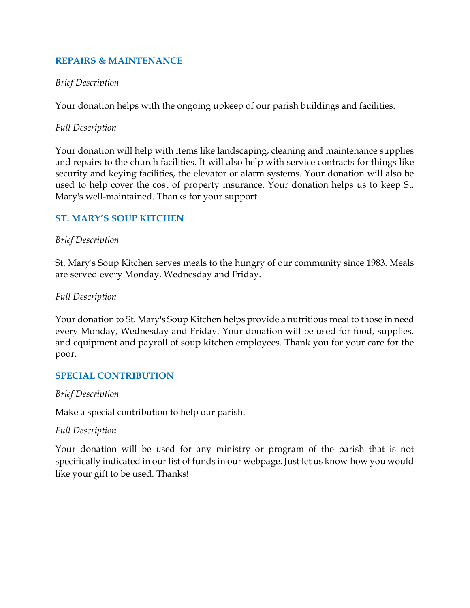## REPAIRS & MAINTENANCE

### Brief Description

Your donation helps with the ongoing upkeep of our parish buildings and facilities.

### Full Description

Your donation will help with items like landscaping, cleaning and maintenance supplies and repairs to the church facilities. It will also help with service contracts for things like security and keying facilities, the elevator or alarm systems. Your donation will also be used to help cover the cost of property insurance. Your donation helps us to keep St. Mary's well-maintained. Thanks for your support.

## ST. MARY'S SOUP KITCHEN

### Brief Description

St. Mary's Soup Kitchen serves meals to the hungry of our community since 1983. Meals are served every Monday, Wednesday and Friday.

#### Full Description

Your donation to St. Mary's Soup Kitchen helps provide a nutritious meal to those in need every Monday, Wednesday and Friday. Your donation will be used for food, supplies, and equipment and payroll of soup kitchen employees. Thank you for your care for the poor.

## SPECIAL CONTRIBUTION

#### Brief Description

Make a special contribution to help our parish.

#### Full Description

Your donation will be used for any ministry or program of the parish that is not specifically indicated in our list of funds in our webpage. Just let us know how you would like your gift to be used. Thanks!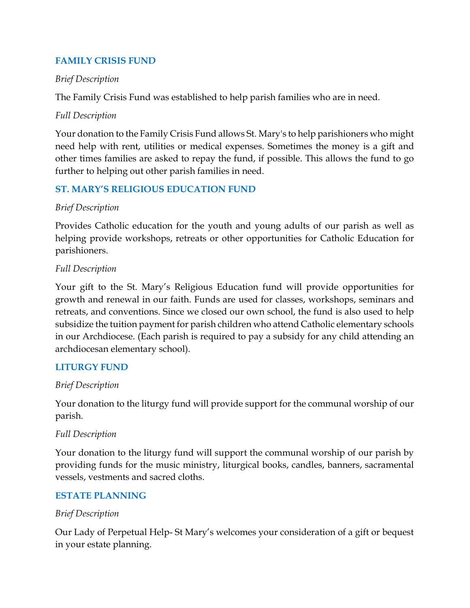# FAMILY CRISIS FUND

## Brief Description

The Family Crisis Fund was established to help parish families who are in need.

## Full Description

Your donation to the Family Crisis Fund allows St. Mary's to help parishioners who might need help with rent, utilities or medical expenses. Sometimes the money is a gift and other times families are asked to repay the fund, if possible. This allows the fund to go further to helping out other parish families in need.

# ST. MARY'S RELIGIOUS EDUCATION FUND

## Brief Description

Provides Catholic education for the youth and young adults of our parish as well as helping provide workshops, retreats or other opportunities for Catholic Education for parishioners.

## Full Description

Your gift to the St. Mary's Religious Education fund will provide opportunities for growth and renewal in our faith. Funds are used for classes, workshops, seminars and retreats, and conventions. Since we closed our own school, the fund is also used to help subsidize the tuition payment for parish children who attend Catholic elementary schools in our Archdiocese. (Each parish is required to pay a subsidy for any child attending an archdiocesan elementary school).

## LITURGY FUND

## Brief Description

Your donation to the liturgy fund will provide support for the communal worship of our parish.

## Full Description

Your donation to the liturgy fund will support the communal worship of our parish by providing funds for the music ministry, liturgical books, candles, banners, sacramental vessels, vestments and sacred cloths.

# ESTATE PLANNING

## Brief Description

Our Lady of Perpetual Help- St Mary's welcomes your consideration of a gift or bequest in your estate planning.